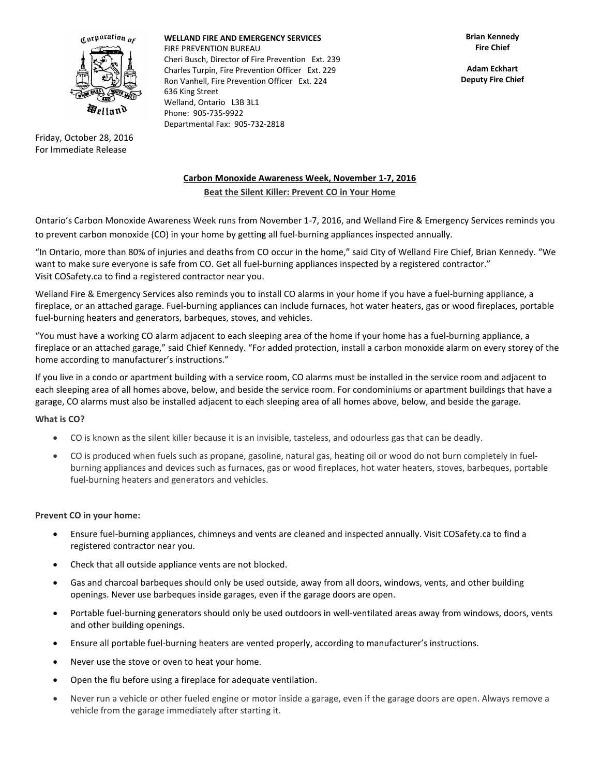

Friday, October 28, 2016 For Immediate Release

**WELLAND FIRE AND EMERGENCY SERVICES** FIRE PREVENTION BUREAU Cheri Busch, Director of Fire Prevention Ext. 239 Charles Turpin, Fire Prevention Officer Ext. 229 Ron Vanhell, Fire Prevention Officer Ext. 224 636 King Street Welland, Ontario L3B 3L1 Phone: 905-735-9922 Departmental Fax: 905-732-2818

**Adam Eckhart Deputy Fire Chief**

# **Carbon Monoxide Awareness Week, November 1-7, 2016**

**Beat the Silent Killer: Prevent CO in Your Home**

Ontario's Carbon Monoxide Awareness Week runs from November 1-7, 2016, and Welland Fire & Emergency Services reminds you to prevent carbon monoxide (CO) in your home by getting all fuel-burning appliances inspected annually.

"In Ontario, more than 80% of injuries and deaths from CO occur in the home," said City of Welland Fire Chief, Brian Kennedy. "We want to make sure everyone is safe from CO. Get all fuel-burning appliances inspected by a registered contractor." Visit [COSafety.ca](http://www.cosafety.ca/) to find a registered contractor near you.

Welland Fire & Emergency Services also reminds you to install CO alarms in your home if you have a fuel-burning appliance, a fireplace, or an attached garage. Fuel-burning appliances can include furnaces, hot water heaters, gas or wood fireplaces, portable fuel-burning heaters and generators, barbeques, stoves, and vehicles.

"You must have a working CO alarm adjacent to each sleeping area of the home if your home has a fuel-burning appliance, a fireplace or an attached garage," said Chief Kennedy. "For added protection, install a carbon monoxide alarm on every storey of the home according to manufacturer's instructions."

If you live in a condo or apartment building with a service room, CO alarms must be installed in the service room and adjacent to each sleeping area of all homes above, below, and beside the service room. For condominiums or apartment buildings that have a garage, CO alarms must also be installed adjacent to each sleeping area of all homes above, below, and beside the garage.

## **What is CO?**

- CO is known as the silent killer because it is an invisible, tasteless, and odourless gas that can be deadly.
- CO is produced when fuels such as propane, gasoline, natural gas, heating oil or wood do not burn completely in fuelburning appliances and devices such as furnaces, gas or wood fireplaces, hot water heaters, stoves, barbeques, portable fuel-burning heaters and generators and vehicles.

### **Prevent CO in your home:**

- Ensure fuel-burning appliances, chimneys and vents are cleaned and inspected annually. Visit [COSafety.ca](http://www.cosafety.ca/) to find a registered contractor near you.
- Check that all outside appliance vents are not blocked.
- Gas and charcoal barbeques should only be used outside, away from all doors, windows, vents, and other building openings. Never use barbeques inside garages, even if the garage doors are open.
- Portable fuel-burning generators should only be used outdoors in well-ventilated areas away from windows, doors, vents and other building openings.
- Ensure all portable fuel-burning heaters are vented properly, according to manufacturer's instructions.
- Never use the stove or oven to heat your home.
- Open the flu before using a fireplace for adequate ventilation.
- Never run a vehicle or other fueled engine or motor inside a garage, even if the garage doors are open. Always remove a vehicle from the garage immediately after starting it.